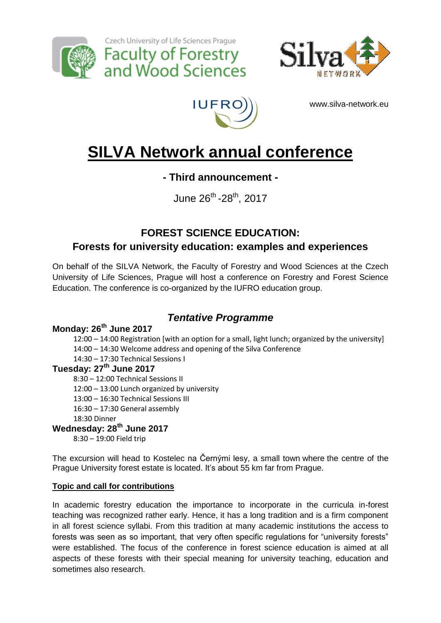





Czech University of Life Sciences Prague

**Faculty of Forestry<br>and Wood Sciences** 

www.silva-network.eu

# **SILVA Network annual conference**

### **- Third announcement -**

June 26<sup>th</sup> -28<sup>th</sup>, 2017

# **FOREST SCIENCE EDUCATION: Forests for university education: examples and experiences**

On behalf of the SILVA Network, the Faculty of Forestry and Wood Sciences at the Czech University of Life Sciences, Prague will host a conference on Forestry and Forest Science Education. The conference is co-organized by the IUFRO education group.

## *Tentative Programme*

#### **Monday: 26th June 2017**

12:00 – 14:00 Registration [with an option for a small, light lunch; organized by the university] 14:00 – 14:30 Welcome address and opening of the Silva Conference

14:30 – 17:30 Technical Sessions I

#### **Tuesday: 27th June 2017**

8:30 – 12:00 Technical Sessions II

12:00 – 13:00 Lunch organized by university

- 13:00 16:30 Technical Sessions III
- 16:30 17:30 General assembly

18:30 Dinner

#### **Wednesday: 28th June 2017**

8:30 – 19:00 Field trip

The excursion will head to Kostelec na Černými lesy, a small town where the centre of the Prague University forest estate is located. It's about 55 km far from Prague.

#### **Topic and call for contributions**

In academic forestry education the importance to incorporate in the curricula in-forest teaching was recognized rather early. Hence, it has a long tradition and is a firm component in all forest science syllabi. From this tradition at many academic institutions the access to forests was seen as so important, that very often specific regulations for "university forests" were established. The focus of the conference in forest science education is aimed at all aspects of these forests with their special meaning for university teaching, education and sometimes also research.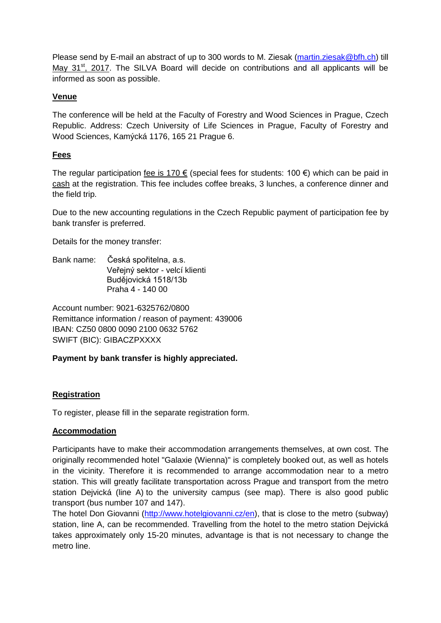Please send by E-mail an abstract of up to 300 words to M. Ziesak [\(martin.ziesak@bfh.ch\)](mailto:martin.ziesak@bfh.ch) till May  $31<sup>st</sup>$ , 2017. The SILVA Board will decide on contributions and all applicants will be informed as soon as possible.

#### **Venue**

The conference will be held at the Faculty of Forestry and Wood Sciences in Prague, Czech Republic. Address: Czech University of Life Sciences in Prague, Faculty of Forestry and Wood Sciences, Kamýcká 1176, 165 21 Prague 6.

#### **Fees**

The regular participation fee is 170  $\epsilon$  (special fees for students: 100  $\epsilon$ ) which can be paid in cash at the registration. This fee includes coffee breaks, 3 lunches, a conference dinner and the field trip.

Due to the new accounting regulations in the Czech Republic payment of participation fee by bank transfer is preferred.

Details for the money transfer:

Bank name: Česká spořitelna, a.s. Veřejný sektor - velcí klienti Budějovická 1518/13b Praha 4 - 140 00

Account number: 9021-6325762/0800 Remittance information / reason of payment: 439006 IBAN: CZ50 0800 0090 2100 0632 5762 SWIFT (BIC): GIBACZPXXXX

**Payment by bank transfer is highly appreciated.**

#### **Registration**

To register, please fill in the separate registration form.

#### **Accommodation**

Participants have to make their accommodation arrangements themselves, at own cost. The originally recommended hotel "Galaxie (Wienna)" is completely booked out, as well as hotels in the vicinity. Therefore it is recommended to arrange accommodation near to a metro station. This will greatly facilitate transportation across Prague and transport from the metro station Dejvická (line A) to the university campus (see map). There is also good public transport (bus number 107 and 147).

The hotel Don Giovanni [\(http://www.hotelgiovanni.cz/en\)](http://www.hotelgiovanni.cz/en), that is close to the metro (subway) station, line A, can be recommended. Travelling from the hotel to the metro station Dejvická takes approximately only 15-20 minutes, advantage is that is not necessary to change the metro line.